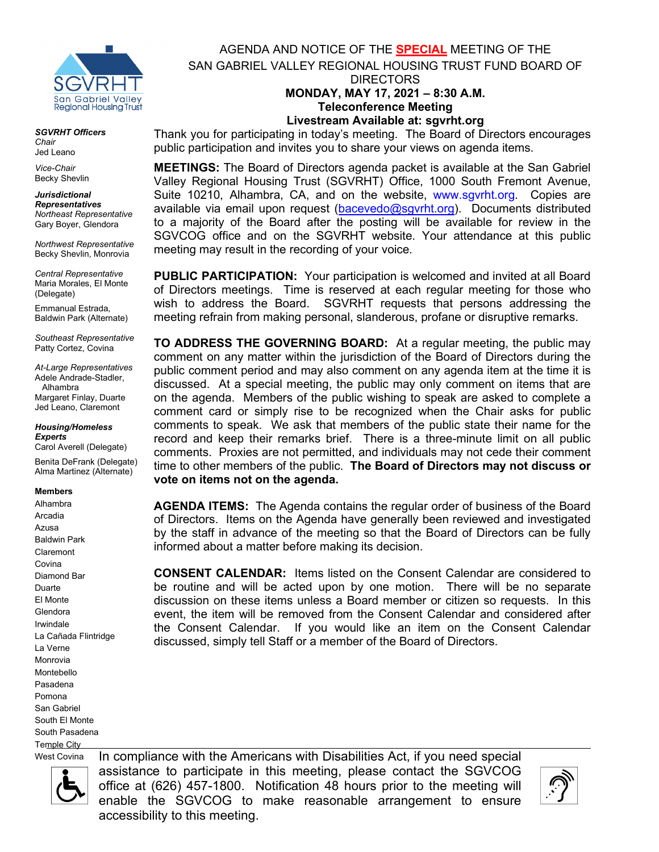

*SGVRHT Officers Chair* Jed Leano

*Vice-Chair* Becky Shevlin

*Jurisdictional Representatives Northeast Representative* Gary Boyer, Glendora

*Northwest Representative* Becky Shevlin, Monrovia

*Central Representative* Maria Morales, El Monte (Delegate)

Emmanual Estrada, Baldwin Park (Alternate)

*Southeast Representative* Patty Cortez, Covina

*At-Large Representatives* Adele Andrade-Stadler, Alhambra Margaret Finlay, Duarte Jed Leano, Claremont

### *Housing/Homeless Experts*

Carol Averell (Delegate) Benita DeFrank (Delegate) Alma Martinez (Alternate)

**Members**

Alhambra Arcadia Azusa Baldwin Park Claremont Covina Diamond Bar Duarte El Monte Glendora Irwindale La Cañada Flintridge La Verne Monrovia Montebello Pasadena Pomona San Gabriel South El Monte South Pasadena Temple City

AGENDA AND NOTICE OF THE **SPECIAL** MEETING OF THE SAN GABRIEL VALLEY REGIONAL HOUSING TRUST FUND BOARD OF DIRECTORS **MONDAY, MAY 17, 2021 – 8:30 A.M.**

**Teleconference Meeting Livestream Available at: sgvrht.org**

Thank you for participating in today's meeting. The Board of Directors encourages public participation and invites you to share your views on agenda items.

**MEETINGS:** The Board of Directors agenda packet is available at the San Gabriel Valley Regional Housing Trust (SGVRHT) Office, 1000 South Fremont Avenue, Suite 10210, Alhambra, CA, and on the website, [www.sgvrht.org.](http://www.sgvrht.org/) Copies are available via email upon request [\(bacevedo@sgvrht.org\)](mailto:bacevedo@sgvrht.org). Documents distributed to a majority of the Board after the posting will be available for review in the SGVCOG office and on the SGVRHT website. Your attendance at this public meeting may result in the recording of your voice.

**PUBLIC PARTICIPATION:** Your participation is welcomed and invited at all Board of Directors meetings. Time is reserved at each regular meeting for those who wish to address the Board. SGVRHT requests that persons addressing the meeting refrain from making personal, slanderous, profane or disruptive remarks.

**TO ADDRESS THE GOVERNING BOARD:** At a regular meeting, the public may comment on any matter within the jurisdiction of the Board of Directors during the public comment period and may also comment on any agenda item at the time it is discussed. At a special meeting, the public may only comment on items that are on the agenda. Members of the public wishing to speak are asked to complete a comment card or simply rise to be recognized when the Chair asks for public comments to speak. We ask that members of the public state their name for the record and keep their remarks brief. There is a three-minute limit on all public comments.Proxies are not permitted, and individuals may not cede their comment time to other members of the public. **The Board of Directors may not discuss or vote on items not on the agenda.**

**AGENDA ITEMS:** The Agenda contains the regular order of business of the Board of Directors. Items on the Agenda have generally been reviewed and investigated by the staff in advance of the meeting so that the Board of Directors can be fully informed about a matter before making its decision.

**CONSENT CALENDAR:** Items listed on the Consent Calendar are considered to be routine and will be acted upon by one motion. There will be no separate discussion on these items unless a Board member or citizen so requests. In this event, the item will be removed from the Consent Calendar and considered after the Consent Calendar. If you would like an item on the Consent Calendar discussed, simply tell Staff or a member of the Board of Directors.

West Covina



In compliance with the Americans with Disabilities Act, if you need special assistance to participate in this meeting, please contact the SGVCOG office at (626) 457-1800. Notification 48 hours prior to the meeting will enable the SGVCOG to make reasonable arrangement to ensure accessibility to this meeting.

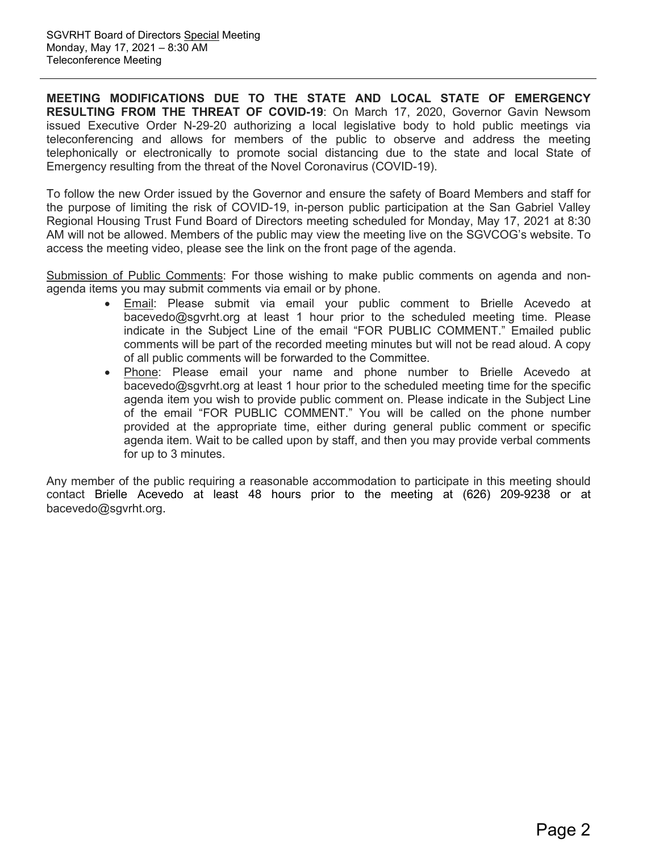**MEETING MODIFICATIONS DUE TO THE STATE AND LOCAL STATE OF EMERGENCY RESULTING FROM THE THREAT OF COVID-19**: On March 17, 2020, Governor Gavin Newsom issued Executive Order N-29-20 authorizing a local legislative body to hold public meetings via teleconferencing and allows for members of the public to observe and address the meeting telephonically or electronically to promote social distancing due to the state and local State of Emergency resulting from the threat of the Novel Coronavirus (COVID-19).

To follow the new Order issued by the Governor and ensure the safety of Board Members and staff for the purpose of limiting the risk of COVID-19, in-person public participation at the San Gabriel Valley Regional Housing Trust Fund Board of Directors meeting scheduled for Monday, May 17, 2021 at 8:30 AM will not be allowed. Members of the public may view the meeting live on the SGVCOG's website. To access the meeting video, please see the link on the front page of the agenda.

Submission of Public Comments: For those wishing to make public comments on agenda and nonagenda items you may submit comments via email or by phone.

- Email: Please submit via email your public comment to Brielle Acevedo at bacevedo@sgvrht.org at least 1 hour prior to the scheduled meeting time. Please indicate in the Subject Line of the email "FOR PUBLIC COMMENT." Emailed public comments will be part of the recorded meeting minutes but will not be read aloud. A copy of all public comments will be forwarded to the Committee.
- Phone: Please email your name and phone number to Brielle Acevedo at bacevedo@sgvrht.org at least 1 hour prior to the scheduled meeting time for the specific agenda item you wish to provide public comment on. Please indicate in the Subject Line of the email "FOR PUBLIC COMMENT." You will be called on the phone number provided at the appropriate time, either during general public comment or specific agenda item. Wait to be called upon by staff, and then you may provide verbal comments for up to 3 minutes.

Any member of the public requiring a reasonable accommodation to participate in this meeting should contact Brielle Acevedo at least 48 hours prior to the meeting at (626) 209-9238 or at bacevedo@sgvrht.org.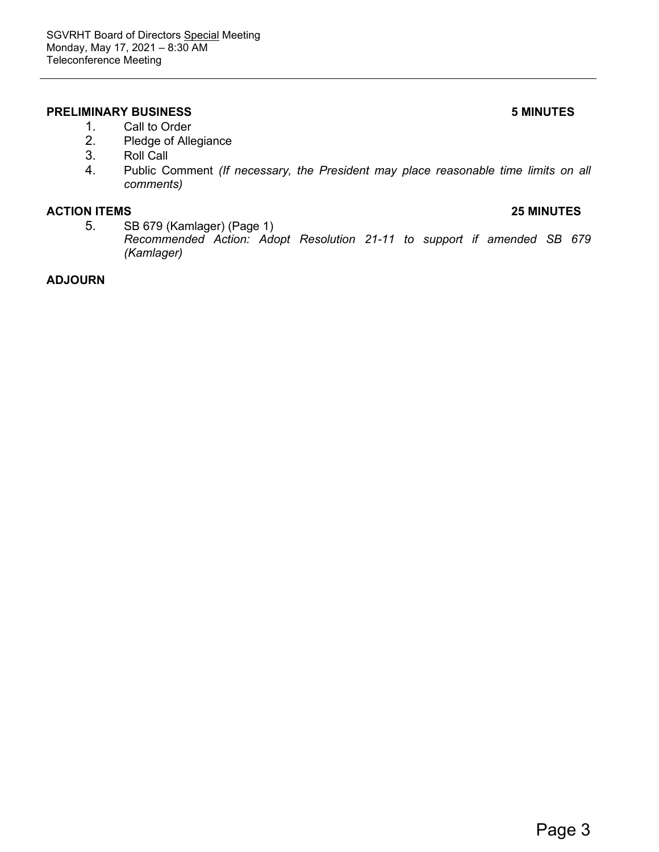## **PRELIMINARY BUSINESS 5 MINUTES**

- 1. Call to Order
- 2. Pledge of Allegiance<br>3. Roll Call
- 3. Roll Call<br>4. Public Co
- 4. Public Comment *(If necessary, the President may place reasonable time limits on all comments)*

### **ACTION ITEMS 25 MINUTES**

5. SB 679 (Kamlager) (Page 1) *Recommended Action: Adopt Resolution 21-11 to support if amended SB 679 (Kamlager)* 

## **ADJOURN**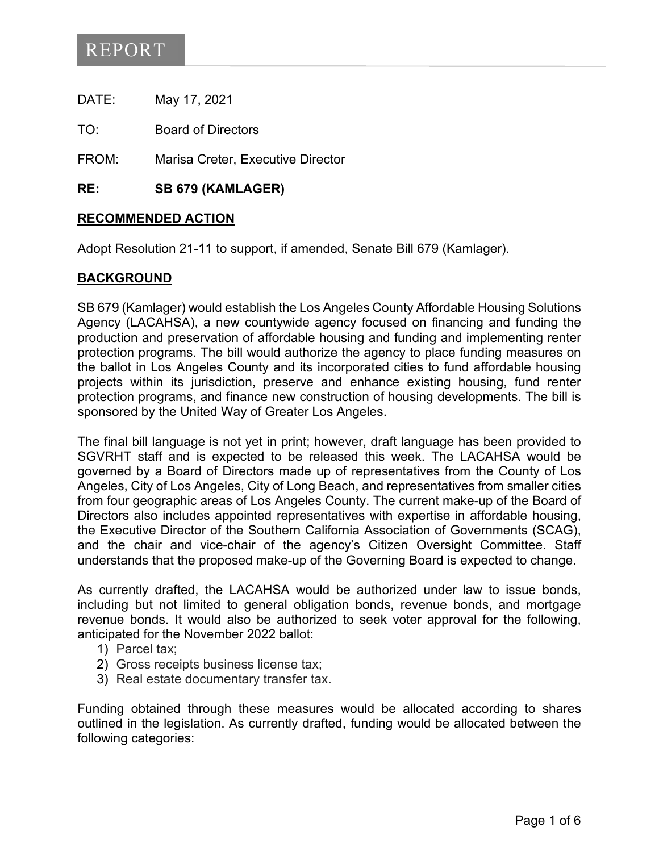DATE: May 17, 2021

TO: Board of Directors

FROM: Marisa Creter, Executive Director

**RE: SB 679 (KAMLAGER)** 

# **RECOMMENDED ACTION**

Adopt Resolution 21-11 to support, if amended, Senate Bill 679 (Kamlager).

# **BACKGROUND**

SB 679 (Kamlager) would establish the Los Angeles County Affordable Housing Solutions Agency (LACAHSA), a new countywide agency focused on financing and funding the production and preservation of affordable housing and funding and implementing renter protection programs. The bill would authorize the agency to place funding measures on the ballot in Los Angeles County and its incorporated cities to fund affordable housing projects within its jurisdiction, preserve and enhance existing housing, fund renter protection programs, and finance new construction of housing developments. The bill is sponsored by the United Way of Greater Los Angeles.

The final bill language is not yet in print; however, draft language has been provided to SGVRHT staff and is expected to be released this week. The LACAHSA would be governed by a Board of Directors made up of representatives from the County of Los Angeles, City of Los Angeles, City of Long Beach, and representatives from smaller cities from four geographic areas of Los Angeles County. The current make-up of the Board of Directors also includes appointed representatives with expertise in affordable housing, the Executive Director of the Southern California Association of Governments (SCAG), and the chair and vice-chair of the agency's Citizen Oversight Committee. Staff understands that the proposed make-up of the Governing Board is expected to change.

As currently drafted, the LACAHSA would be authorized under law to issue bonds, including but not limited to general obligation bonds, revenue bonds, and mortgage revenue bonds. It would also be authorized to seek voter approval for the following, anticipated for the November 2022 ballot:

- 1) Parcel tax;
- 2) Gross receipts business license tax;
- 3) Real estate documentary transfer tax.

Funding obtained through these measures would be allocated according to shares outlined in the legislation. As currently drafted, funding would be allocated between the following categories: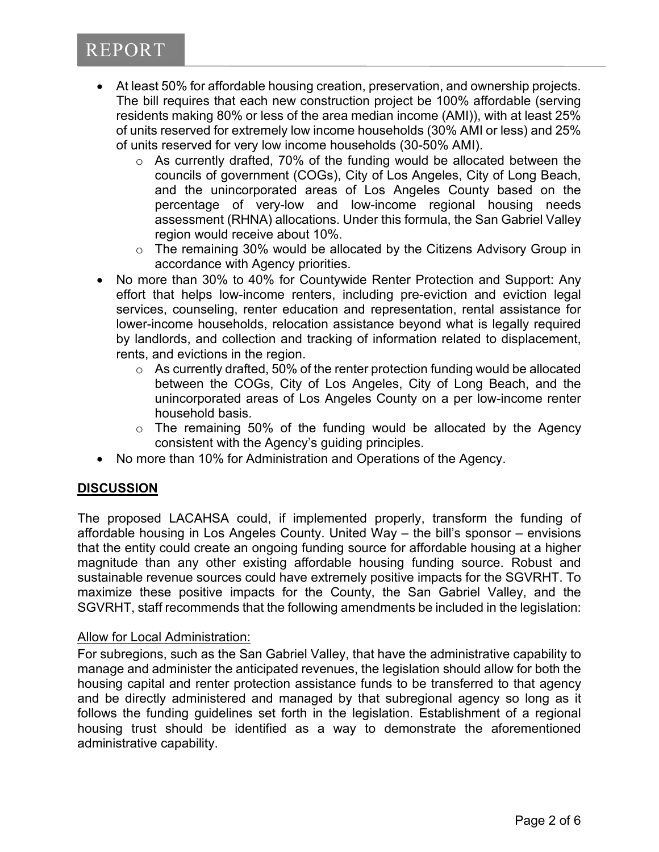- At least 50% for affordable housing creation, preservation, and ownership projects. The bill requires that each new construction project be 100% affordable (serving residents making 80% or less of the area median income (AMI)), with at least 25% of units reserved for extremely low income households (30% AMI or less) and 25% of units reserved for very low income households (30-50% AMI).
	- o As currently drafted, 70% of the funding would be allocated between the councils of government (COGs), City of Los Angeles, City of Long Beach, and the unincorporated areas of Los Angeles County based on the percentage of very-low and low-income regional housing needs assessment (RHNA) allocations. Under this formula, the San Gabriel Valley region would receive about 10%.
	- o The remaining 30% would be allocated by the Citizens Advisory Group in accordance with Agency priorities.
- No more than 30% to 40% for Countywide Renter Protection and Support: Any effort that helps low-income renters, including pre-eviction and eviction legal services, counseling, renter education and representation, rental assistance for lower-income households, relocation assistance beyond what is legally required by landlords, and collection and tracking of information related to displacement, rents, and evictions in the region.
	- $\circ$  As currently drafted, 50% of the renter protection funding would be allocated between the COGs, City of Los Angeles, City of Long Beach, and the unincorporated areas of Los Angeles County on a per low-income renter household basis.
	- $\circ$  The remaining 50% of the funding would be allocated by the Agency consistent with the Agency's guiding principles.
- No more than 10% for Administration and Operations of the Agency.

# **DISCUSSION**

The proposed LACAHSA could, if implemented properly, transform the funding of affordable housing in Los Angeles County. United Way – the bill's sponsor – envisions that the entity could create an ongoing funding source for affordable housing at a higher magnitude than any other existing affordable housing funding source. Robust and sustainable revenue sources could have extremely positive impacts for the SGVRHT. To maximize these positive impacts for the County, the San Gabriel Valley, and the SGVRHT, staff recommends that the following amendments be included in the legislation:

# Allow for Local Administration:

For subregions, such as the San Gabriel Valley, that have the administrative capability to manage and administer the anticipated revenues, the legislation should allow for both the housing capital and renter protection assistance funds to be transferred to that agency and be directly administered and managed by that subregional agency so long as it follows the funding guidelines set forth in the legislation. Establishment of a regional housing trust should be identified as a way to demonstrate the aforementioned administrative capability.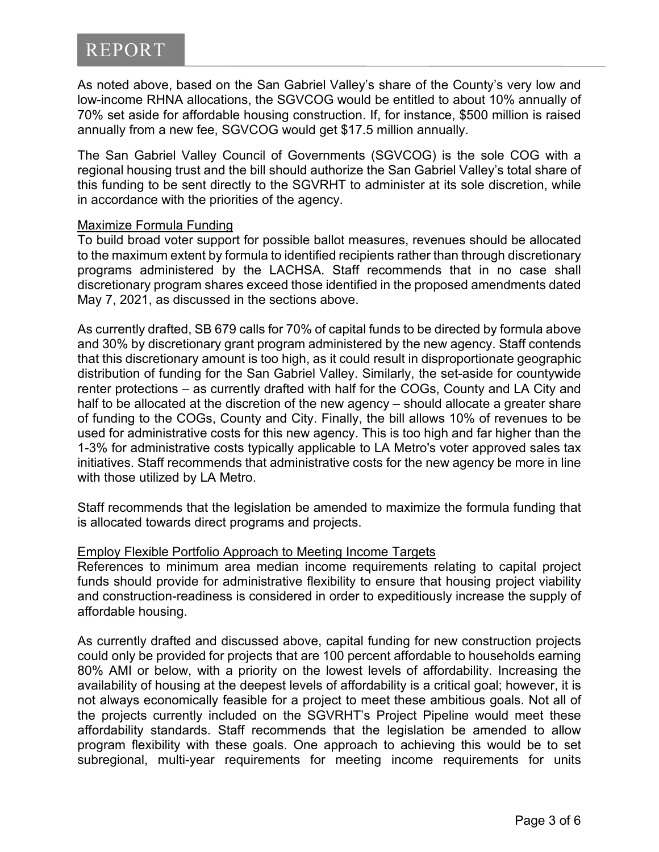As noted above, based on the San Gabriel Valley's share of the County's very low and low-income RHNA allocations, the SGVCOG would be entitled to about 10% annually of 70% set aside for affordable housing construction. If, for instance, \$500 million is raised annually from a new fee, SGVCOG would get \$17.5 million annually.

The San Gabriel Valley Council of Governments (SGVCOG) is the sole COG with a regional housing trust and the bill should authorize the San Gabriel Valley's total share of this funding to be sent directly to the SGVRHT to administer at its sole discretion, while in accordance with the priorities of the agency.

## Maximize Formula Funding

To build broad voter support for possible ballot measures, revenues should be allocated to the maximum extent by formula to identified recipients rather than through discretionary programs administered by the LACHSA. Staff recommends that in no case shall discretionary program shares exceed those identified in the proposed amendments dated May 7, 2021, as discussed in the sections above.

As currently drafted, SB 679 calls for 70% of capital funds to be directed by formula above and 30% by discretionary grant program administered by the new agency. Staff contends that this discretionary amount is too high, as it could result in disproportionate geographic distribution of funding for the San Gabriel Valley. Similarly, the set-aside for countywide renter protections – as currently drafted with half for the COGs, County and LA City and half to be allocated at the discretion of the new agency – should allocate a greater share of funding to the COGs, County and City. Finally, the bill allows 10% of revenues to be used for administrative costs for this new agency. This is too high and far higher than the 1-3% for administrative costs typically applicable to LA Metro's voter approved sales tax initiatives. Staff recommends that administrative costs for the new agency be more in line with those utilized by LA Metro.

Staff recommends that the legislation be amended to maximize the formula funding that is allocated towards direct programs and projects.

# Employ Flexible Portfolio Approach to Meeting Income Targets

References to minimum area median income requirements relating to capital project funds should provide for administrative flexibility to ensure that housing project viability and construction-readiness is considered in order to expeditiously increase the supply of affordable housing.

As currently drafted and discussed above, capital funding for new construction projects could only be provided for projects that are 100 percent affordable to households earning 80% AMI or below, with a priority on the lowest levels of affordability. Increasing the availability of housing at the deepest levels of affordability is a critical goal; however, it is not always economically feasible for a project to meet these ambitious goals. Not all of the projects currently included on the SGVRHT's Project Pipeline would meet these affordability standards. Staff recommends that the legislation be amended to allow program flexibility with these goals. One approach to achieving this would be to set subregional, multi-year requirements for meeting income requirements for units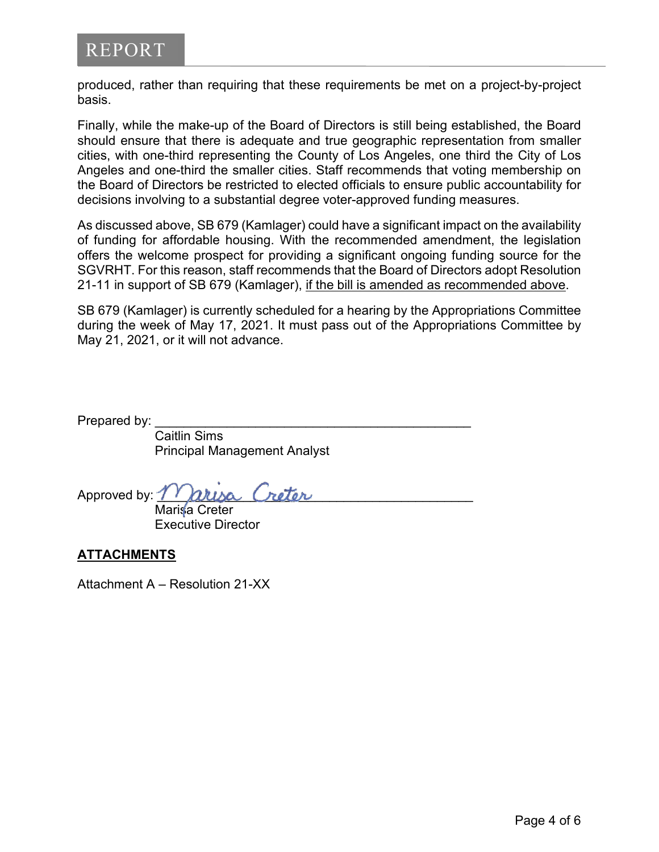produced, rather than requiring that these requirements be met on a project-by-project basis.

Finally, while the make-up of the Board of Directors is still being established, the Board should ensure that there is adequate and true geographic representation from smaller cities, with one-third representing the County of Los Angeles, one third the City of Los Angeles and one-third the smaller cities. Staff recommends that voting membership on the Board of Directors be restricted to elected officials to ensure public accountability for decisions involving to a substantial degree voter-approved funding measures.

As discussed above, SB 679 (Kamlager) could have a significant impact on the availability of funding for affordable housing. With the recommended amendment, the legislation offers the welcome prospect for providing a significant ongoing funding source for the SGVRHT. For this reason, staff recommends that the Board of Directors adopt Resolution 21-11 in support of SB 679 (Kamlager), if the bill is amended as recommended above.

SB 679 (Kamlager) is currently scheduled for a hearing by the Appropriations Committee during the week of May 17, 2021. It must pass out of the Appropriations Committee by May 21, 2021, or it will not advance.

Prepared by:

Caitlin Sims Principal Management Analyst

Approved by:  $m$ arisa Creter

Marisa Creter Executive Director

# **ATTACHMENTS**

Attachment A – Resolution 21-XX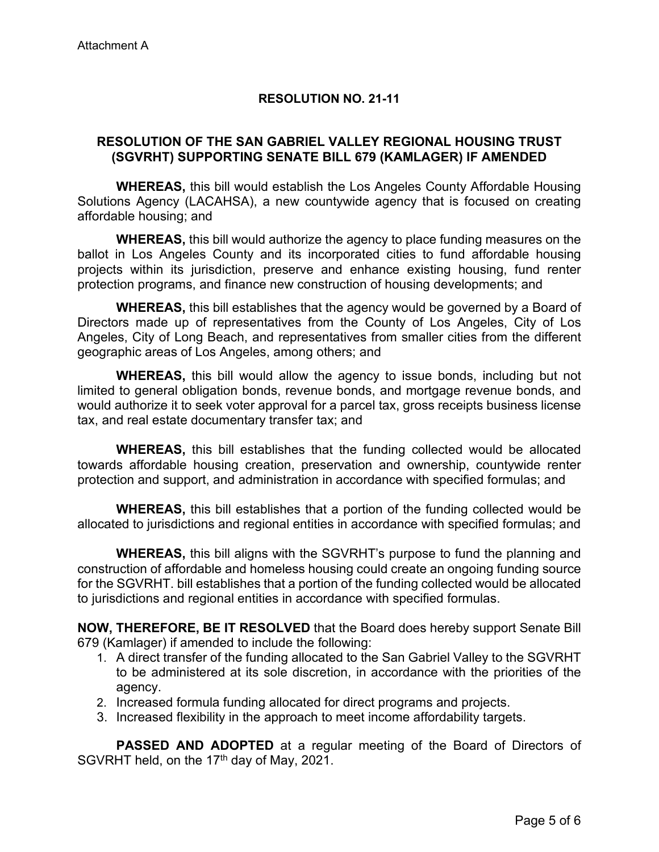# **RESOLUTION NO. 21-11**

# **RESOLUTION OF THE SAN GABRIEL VALLEY REGIONAL HOUSING TRUST (SGVRHT) SUPPORTING SENATE BILL 679 (KAMLAGER) IF AMENDED**

**WHEREAS,** this bill would establish the Los Angeles County Affordable Housing Solutions Agency (LACAHSA), a new countywide agency that is focused on creating affordable housing; and

**WHEREAS,** this bill would authorize the agency to place funding measures on the ballot in Los Angeles County and its incorporated cities to fund affordable housing projects within its jurisdiction, preserve and enhance existing housing, fund renter protection programs, and finance new construction of housing developments; and

**WHEREAS,** this bill establishes that the agency would be governed by a Board of Directors made up of representatives from the County of Los Angeles, City of Los Angeles, City of Long Beach, and representatives from smaller cities from the different geographic areas of Los Angeles, among others; and

**WHEREAS,** this bill would allow the agency to issue bonds, including but not limited to general obligation bonds, revenue bonds, and mortgage revenue bonds, and would authorize it to seek voter approval for a parcel tax, gross receipts business license tax, and real estate documentary transfer tax; and

**WHEREAS,** this bill establishes that the funding collected would be allocated towards affordable housing creation, preservation and ownership, countywide renter protection and support, and administration in accordance with specified formulas; and

**WHEREAS,** this bill establishes that a portion of the funding collected would be allocated to jurisdictions and regional entities in accordance with specified formulas; and

**WHEREAS,** this bill aligns with the SGVRHT's purpose to fund the planning and construction of affordable and homeless housing could create an ongoing funding source for the SGVRHT. bill establishes that a portion of the funding collected would be allocated to jurisdictions and regional entities in accordance with specified formulas.

**NOW, THEREFORE, BE IT RESOLVED** that the Board does hereby support Senate Bill 679 (Kamlager) if amended to include the following:

- 1. A direct transfer of the funding allocated to the San Gabriel Valley to the SGVRHT to be administered at its sole discretion, in accordance with the priorities of the agency.
- 2. Increased formula funding allocated for direct programs and projects.
- 3. Increased flexibility in the approach to meet income affordability targets.

**PASSED AND ADOPTED** at a regular meeting of the Board of Directors of SGVRHT held, on the 17<sup>th</sup> day of May, 2021.